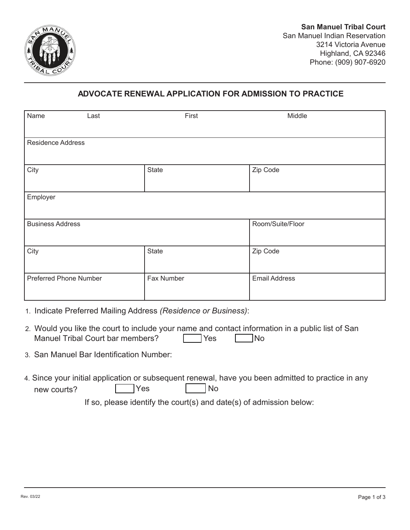

## **ADVOCATE RENEWAL APPLICATION FOR ADMISSION TO PRACTICE**

| Name                          | Last | First        | Middle               |  |  |
|-------------------------------|------|--------------|----------------------|--|--|
| <b>Residence Address</b>      |      |              |                      |  |  |
| City                          |      | <b>State</b> | Zip Code             |  |  |
| Employer                      |      |              |                      |  |  |
| <b>Business Address</b>       |      |              | Room/Suite/Floor     |  |  |
| City                          |      | State        | Zip Code             |  |  |
| <b>Preferred Phone Number</b> |      | Fax Number   | <b>Email Address</b> |  |  |

- 1. Indicate Preferred Mailing Address *(Residence or Business)*:
- 2. Would you like the court to include your name and contact information in a public list of San Manuel Tribal Court bar members? The No
- 3. San Manuel Bar Identification Number:
- 4. Since your initial application or subsequent renewal, have you been admitted to practice in any new courts? The No

If so, please identify the court(s) and date(s) of admission below: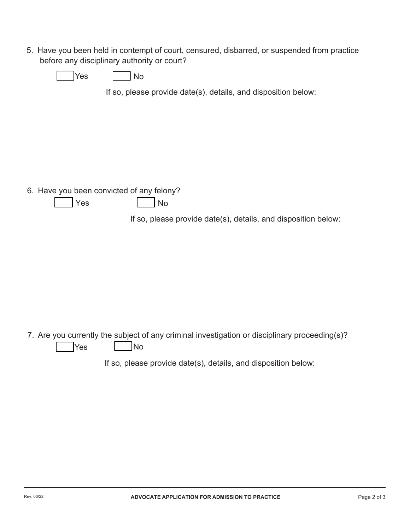5. Have you been held in contempt of court, censured, disbarred, or suspended from practice before any disciplinary authority or court?

| $\sim$<br>-- | ง∩ |
|--------------|----|
|--------------|----|

If so, please provide date(s), details, and disposition below:

6. Have you been convicted of any felony?

| <b>Yes</b> | <b>No</b> |
|------------|-----------|
|------------|-----------|

If so, please provide date(s), details, and disposition below:

7. Are you currently the subject of any criminal investigation or disciplinary proceeding(s)?  $\sqrt{Y}$ es  $\boxed{\phantom{0}}$ No

If so, please provide date(s), details, and disposition below: